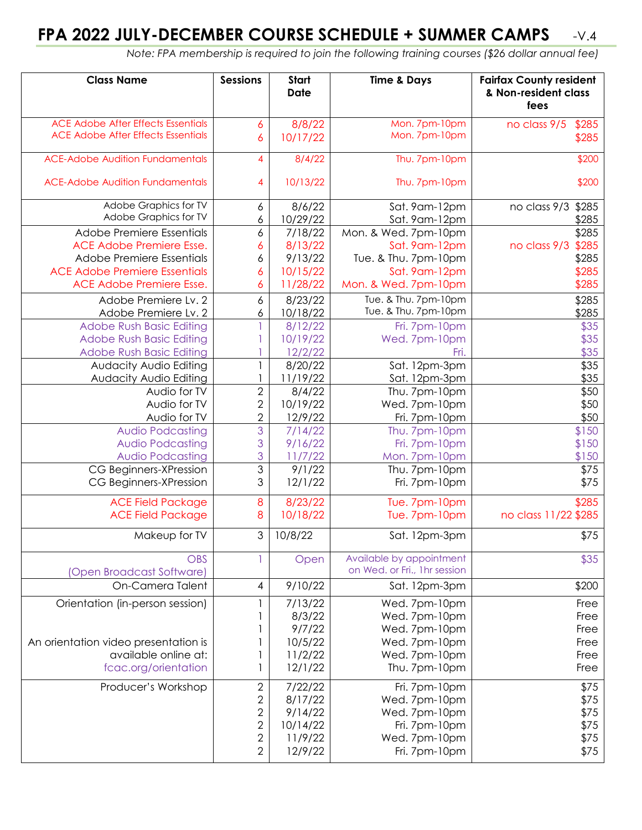## **FPA 2022 JULY-DECEMBER COURSE SCHEDULE + SUMMER CAMPS** -V.4

 *Note: FPA membership is required to join the following training courses (\$26 dollar annual fee)*

| <b>Class Name</b>                         | <b>Sessions</b> | Start<br><b>Date</b> | <b>Time &amp; Days</b>                                   | <b>Fairfax County resident</b><br>& Non-resident class<br>fees |
|-------------------------------------------|-----------------|----------------------|----------------------------------------------------------|----------------------------------------------------------------|
| <b>ACE Adobe After Effects Essentials</b> | 6               | 8/8/22               | Mon. 7pm-10pm                                            | no class 9/5<br>\$285                                          |
| <b>ACE Adobe After Effects Essentials</b> | 6               | 10/17/22             | Mon. 7pm-10pm                                            | \$285                                                          |
| <b>ACE-Adobe Audition Fundamentals</b>    | 4               | 8/4/22               | Thu. 7pm-10pm                                            | \$200                                                          |
| <b>ACE-Adobe Audition Fundamentals</b>    | 4               | 10/13/22             | Thu. 7pm-10pm                                            | \$200                                                          |
| Adobe Graphics for TV                     | 6               | 8/6/22               | Sat. 9am-12pm                                            | no class 9/3<br>\$285                                          |
| Adobe Graphics for TV                     | 6               | 10/29/22             | Sat. 9am-12pm                                            | \$285                                                          |
| Adobe Premiere Essentials                 | 6               | 7/18/22              | Mon. & Wed. 7pm-10pm                                     | \$285                                                          |
| ACE Adobe Premiere Esse.                  | 6               | 8/13/22              | Sat. 9am-12pm                                            | no class 9/3<br>\$285                                          |
| Adobe Premiere Essentials                 | 6               | 9/13/22              | Tue. & Thu. 7pm-10pm                                     | \$285                                                          |
| <b>ACE Adobe Premiere Essentials</b>      | 6               | 10/15/22             | Sat. 9am-12pm                                            | \$285                                                          |
| <b>ACE Adobe Premiere Esse.</b>           | 6               | 11/28/22             | Mon. & Wed. 7pm-10pm                                     | \$285                                                          |
| Adobe Premiere Lv. 2                      | 6               | 8/23/22              | Tue. & Thu. 7pm-10pm                                     | \$285                                                          |
| Adobe Premiere Lv. 2                      | 6               | 10/18/22             | Tue. & Thu. 7pm-10pm                                     | \$285                                                          |
| <b>Adobe Rush Basic Editing</b>           |                 | 8/12/22              | Fri. 7pm-10pm                                            | \$35                                                           |
| <b>Adobe Rush Basic Editing</b>           |                 | 10/19/22             | Wed. 7pm-10pm                                            | \$35                                                           |
| <b>Adobe Rush Basic Editing</b>           |                 | 12/2/22              | Fri.                                                     | \$35                                                           |
| Audacity Audio Editing                    |                 | 8/20/22              | Sat. 12pm-3pm                                            | \$35                                                           |
| Audacity Audio Editing                    |                 | 11/19/22             | Sat. 12pm-3pm                                            | \$35                                                           |
| Audio for TV                              | 2               | 8/4/22               | Thu. 7pm-10pm                                            | \$50                                                           |
| Audio for TV                              | $\overline{2}$  | 10/19/22             | Wed. 7pm-10pm                                            | \$50                                                           |
| Audio for TV                              | $\overline{2}$  | 12/9/22              | Fri. 7pm-10pm                                            | \$50                                                           |
| <b>Audio Podcasting</b>                   | 3               | 7/14/22              | Thu. 7pm-10pm                                            | \$150                                                          |
| <b>Audio Podcasting</b>                   | 3               | 9/16/22              | Fri. 7pm-10pm                                            | \$150                                                          |
| <b>Audio Podcasting</b>                   | 3               | 11/7/22              | Mon. 7pm-10pm                                            | \$150                                                          |
| CG Beginners-XPression                    | $\mathfrak{S}$  | 9/1/22               | Thu. 7pm-10pm                                            | \$75                                                           |
| CG Beginners-XPression                    | 3               | 12/1/22              | Fri. 7pm-10pm                                            | \$75                                                           |
| <b>ACE Field Package</b>                  | 8               | 8/23/22              | Tue. 7pm-10pm                                            | \$285                                                          |
| <b>ACE Field Package</b>                  | 8               | 10/18/22             | Tue. 7pm-10pm                                            | no class 11/22 \$285                                           |
| Makeup for TV                             | 3 <sup>1</sup>  | 10/8/22              | Sat. 12pm-3pm                                            | \$75                                                           |
| <b>OBS</b><br>(Open Broadcast Software)   |                 | Open                 | Available by appointment<br>on Wed. or Fri., 1hr session | \$35                                                           |
| On-Camera Talent                          | 4               | 9/10/22              | Sat. 12pm-3pm                                            | \$200                                                          |
| Orientation (in-person session)           |                 | 7/13/22              | Wed. 7pm-10pm                                            | Free                                                           |
|                                           |                 | 8/3/22               | Wed. 7pm-10pm                                            | Free                                                           |
|                                           |                 | 9/7/22               | Wed. 7pm-10pm                                            | Free                                                           |
| An orientation video presentation is      |                 | 10/5/22              | Wed. 7pm-10pm                                            | Free                                                           |
| available online at:                      |                 | 11/2/22              | Wed. 7pm-10pm                                            | Free                                                           |
| fcac.org/orientation                      | 1               | 12/1/22              | Thu. 7pm-10pm                                            | Free                                                           |
| Producer's Workshop                       | $\overline{2}$  | 7/22/22              | Fri. 7pm-10pm                                            | \$75                                                           |
|                                           | $\mathbf{2}$    | 8/17/22              | Wed. 7pm-10pm                                            | \$75                                                           |
|                                           | $\sqrt{2}$      | 9/14/22              | Wed. 7pm-10pm                                            | \$75                                                           |
|                                           | $\mathbf{2}$    | 10/14/22             | Fri. 7pm-10pm                                            | \$75                                                           |
|                                           | $\sqrt{2}$      | 11/9/22              | Wed. 7pm-10pm                                            | \$75                                                           |
|                                           | $\mathbf{2}$    | 12/9/22              | Fri. 7pm-10pm                                            | \$75                                                           |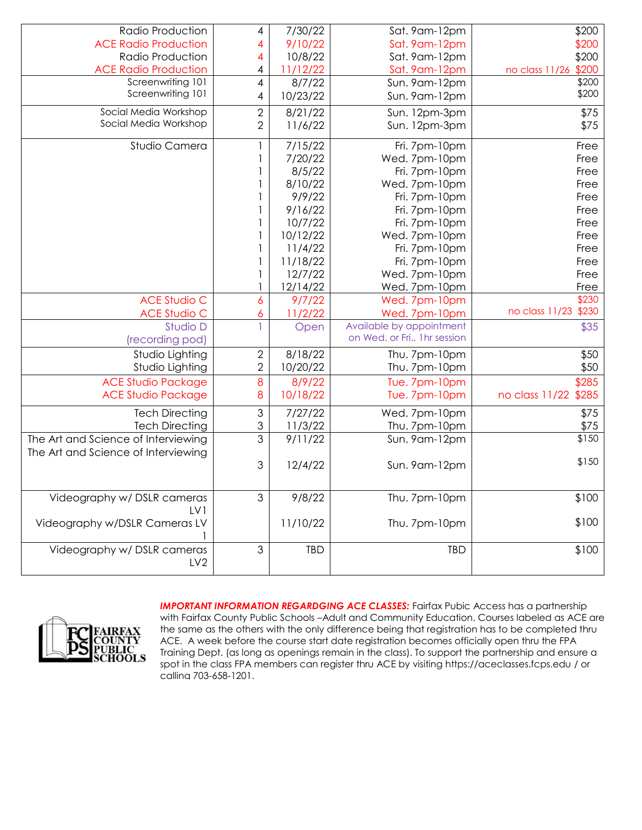| Radio Production                    | 4                   | 7/30/22    | Sat. 9am-12pm                | \$200                   |
|-------------------------------------|---------------------|------------|------------------------------|-------------------------|
| <b>ACE Radio Production</b>         | 4                   | 9/10/22    | Sat. 9am-12pm                | \$200                   |
| Radio Production                    | 4                   | 10/8/22    | Sat. 9am-12pm                | \$200                   |
| <b>ACE Radio Production</b>         | 4                   | 11/12/22   | Sat. 9am-12pm                | no class 11/26 \$200    |
| Screenwriting 101                   | 4                   | 8/7/22     | Sun. 9am-12pm                | \$200                   |
| Screenwriting 101                   | 4                   | 10/23/22   | Sun. 9am-12pm                | \$200                   |
| Social Media Workshop               | $\overline{2}$      | 8/21/22    | Sun. 12pm-3pm                | \$75                    |
| Social Media Workshop               | $\overline{2}$      | 11/6/22    | Sun. 12pm-3pm                | \$75                    |
|                                     |                     |            |                              |                         |
| Studio Camera                       |                     | 7/15/22    | Fri. 7pm-10pm                | Free                    |
|                                     |                     | 7/20/22    | Wed. 7pm-10pm                | Free                    |
|                                     |                     | 8/5/22     | Fri. 7pm-10pm                | Free                    |
|                                     |                     | 8/10/22    | Wed. 7pm-10pm                | Free                    |
|                                     |                     | 9/9/22     | Fri. 7pm-10pm                | Free                    |
|                                     |                     | 9/16/22    | Fri. 7pm-10pm                | Free                    |
|                                     |                     | 10/7/22    | Fri. 7pm-10pm                | Free                    |
|                                     |                     | 10/12/22   | Wed. 7pm-10pm                | Free                    |
|                                     |                     | 11/4/22    | Fri. 7pm-10pm                | Free                    |
|                                     |                     | 11/18/22   | Fri. 7pm-10pm                | Free                    |
|                                     |                     | 12/7/22    | Wed. 7pm-10pm                | Free                    |
|                                     |                     | 12/14/22   | Wed. 7pm-10pm                | Free                    |
| <b>ACE Studio C</b>                 | 6                   | 9/7/22     | Wed. 7pm-10pm                | \$230                   |
| <b>ACE Studio C</b>                 | 6                   | 11/2/22    | Wed. 7pm-10pm                | no class 11/23<br>\$230 |
| Studio D                            | 1                   | Open       | Available by appointment     | \$35                    |
| (recording pod)                     |                     |            | on Wed. or Fri., 1hr session |                         |
| Studio Lighting                     | $\mathbf{2}$        | 8/18/22    | Thu. 7pm-10pm                | \$50                    |
| Studio Lighting                     | $\overline{2}$      | 10/20/22   | Thu. 7pm-10pm                | \$50                    |
| <b>ACE Studio Package</b>           | $\boldsymbol{8}$    | 8/9/22     | Tue. 7pm-10pm                | \$285                   |
| <b>ACE Studio Package</b>           | 8                   | 10/18/22   | Tue. 7pm-10pm                | no class 11/22 \$285    |
|                                     |                     |            |                              |                         |
| <b>Tech Directing</b>               | 3                   | 7/27/22    | Wed. 7pm-10pm                | \$75                    |
| <b>Tech Directing</b>               | 3<br>$\mathfrak{Z}$ | 11/3/22    | Thu. 7pm-10pm                | \$75                    |
| The Art and Science of Interviewing |                     | 9/11/22    | Sun. 9am-12pm                | \$150                   |
| The Art and Science of Interviewing |                     |            |                              | \$150                   |
|                                     | 3                   | 12/4/22    | Sun. 9am-12pm                |                         |
|                                     |                     |            |                              |                         |
| Videography w/ DSLR cameras         | 3                   | 9/8/22     | Thu. 7pm-10pm                | \$100                   |
| LV1                                 |                     |            |                              |                         |
| Videography w/DSLR Cameras LV       |                     | 11/10/22   | Thu. 7pm-10pm                | \$100                   |
|                                     |                     |            |                              |                         |
| Videography w/ DSLR cameras         | $\mathfrak{S}$      | <b>TBD</b> | <b>TBD</b>                   | \$100                   |
| LV <sub>2</sub>                     |                     |            |                              |                         |
|                                     |                     |            |                              |                         |



**IMPORTANT INFORMATION REGARDGING ACE CLASSES:** Fairfax Pubic Access has a partnership with Fairfax County Public Schools –Adult and Community Education. Courses labeled as ACE are the same as the others with the only difference being that registration has to be completed thru ACE. A week before the course start date registration becomes officially open thru the FPA Training Dept. (as long as openings remain in the class). To support the partnership and ensure a spot in the class FPA members can register thru ACE by visiting https://aceclasses.fcps.edu / or calling 703-658-1201.